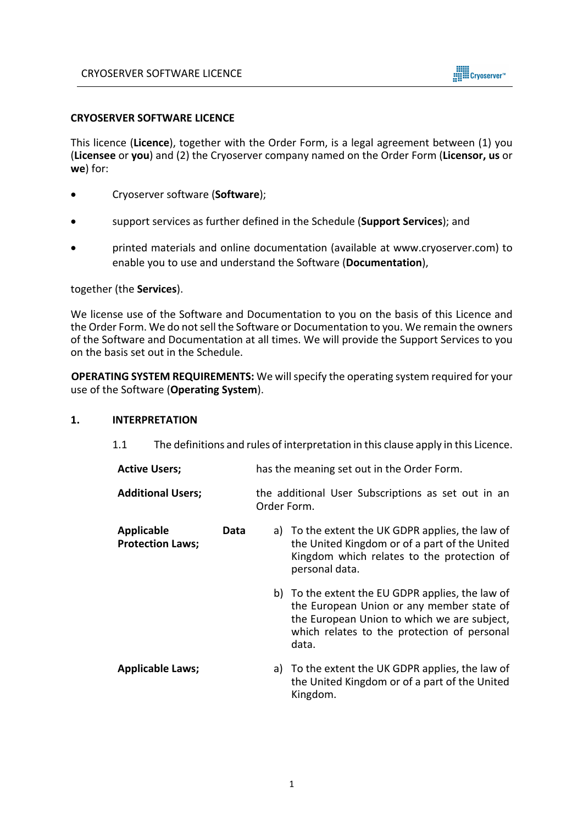

## **CRYOSERVER SOFTWARE LICENCE**

This licence (**Licence**), together with the Order Form, is a legal agreement between (1) you (**Licensee** or **you**) and (2) the Cryoserver company named on the Order Form (**Licensor, us** or **we**) for:

- Cryoserver software (**Software**);
- support services as further defined in the Schedule (**Support Services**); and
- printed materials and online documentation (available at www.cryoserver.com) to enable you to use and understand the Software (**Documentation**),

## together (the **Services**).

We license use of the Software and Documentation to you on the basis of this Licence and the Order Form. We do not sell the Software or Documentation to you. We remain the owners of the Software and Documentation at all times. We will provide the Support Services to you on the basis set out in the Schedule.

**OPERATING SYSTEM REQUIREMENTS:** We will specify the operating system required for your use of the Software (**Operating System**).

## **1. INTERPRETATION**

1.1 The definitions and rules of interpretation in this clause apply in this Licence.

| <b>Active Users;</b>                  |      | has the meaning set out in the Order Form.                        |                                                                                                                                                                                                      |  |
|---------------------------------------|------|-------------------------------------------------------------------|------------------------------------------------------------------------------------------------------------------------------------------------------------------------------------------------------|--|
| <b>Additional Users;</b>              |      | the additional User Subscriptions as set out in an<br>Order Form. |                                                                                                                                                                                                      |  |
| Applicable<br><b>Protection Laws;</b> | Data |                                                                   | a) To the extent the UK GDPR applies, the law of<br>the United Kingdom or of a part of the United<br>Kingdom which relates to the protection of<br>personal data.                                    |  |
|                                       |      |                                                                   | b) To the extent the EU GDPR applies, the law of<br>the European Union or any member state of<br>the European Union to which we are subject,<br>which relates to the protection of personal<br>data. |  |
| <b>Applicable Laws;</b>               |      | a)                                                                | To the extent the UK GDPR applies, the law of<br>the United Kingdom or of a part of the United<br>Kingdom.                                                                                           |  |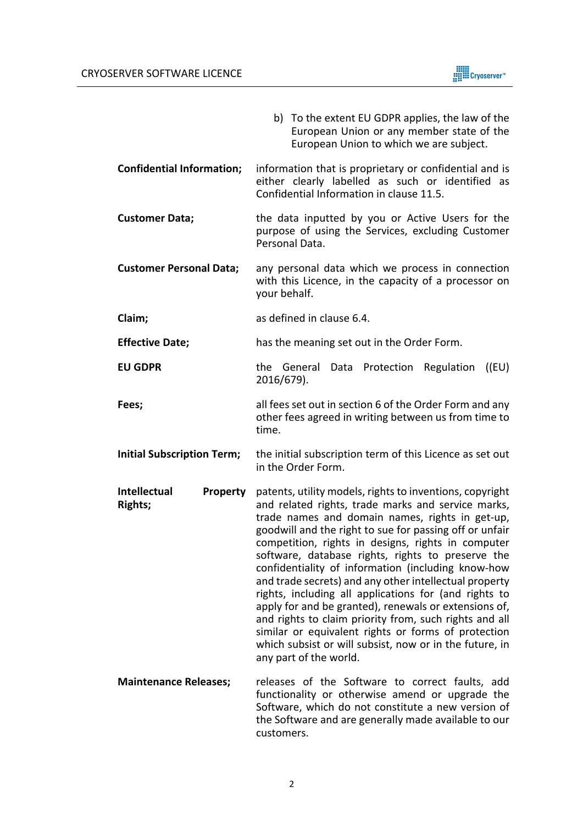

|                                                          | b) To the extent EU GDPR applies, the law of the<br>European Union or any member state of the<br>European Union to which we are subject.                                                                                                                                                                                                                                                                                                                                                                                                                                                                                                                                                                                                                                        |  |
|----------------------------------------------------------|---------------------------------------------------------------------------------------------------------------------------------------------------------------------------------------------------------------------------------------------------------------------------------------------------------------------------------------------------------------------------------------------------------------------------------------------------------------------------------------------------------------------------------------------------------------------------------------------------------------------------------------------------------------------------------------------------------------------------------------------------------------------------------|--|
| <b>Confidential Information;</b>                         | information that is proprietary or confidential and is<br>either clearly labelled as such or identified as<br>Confidential Information in clause 11.5.                                                                                                                                                                                                                                                                                                                                                                                                                                                                                                                                                                                                                          |  |
| <b>Customer Data;</b>                                    | the data inputted by you or Active Users for the<br>purpose of using the Services, excluding Customer<br>Personal Data.                                                                                                                                                                                                                                                                                                                                                                                                                                                                                                                                                                                                                                                         |  |
| <b>Customer Personal Data;</b>                           | any personal data which we process in connection<br>with this Licence, in the capacity of a processor on<br>your behalf.                                                                                                                                                                                                                                                                                                                                                                                                                                                                                                                                                                                                                                                        |  |
| Claim;                                                   | as defined in clause 6.4.                                                                                                                                                                                                                                                                                                                                                                                                                                                                                                                                                                                                                                                                                                                                                       |  |
| <b>Effective Date;</b>                                   | has the meaning set out in the Order Form.                                                                                                                                                                                                                                                                                                                                                                                                                                                                                                                                                                                                                                                                                                                                      |  |
| <b>EU GDPR</b>                                           | the General Data Protection Regulation ((EU)<br>2016/679).                                                                                                                                                                                                                                                                                                                                                                                                                                                                                                                                                                                                                                                                                                                      |  |
| Fees;                                                    | all fees set out in section 6 of the Order Form and any<br>other fees agreed in writing between us from time to<br>time.                                                                                                                                                                                                                                                                                                                                                                                                                                                                                                                                                                                                                                                        |  |
| <b>Initial Subscription Term;</b>                        | the initial subscription term of this Licence as set out<br>in the Order Form.                                                                                                                                                                                                                                                                                                                                                                                                                                                                                                                                                                                                                                                                                                  |  |
| <b>Intellectual</b><br><b>Property</b><br><b>Rights;</b> | patents, utility models, rights to inventions, copyright<br>and related rights, trade marks and service marks,<br>trade names and domain names, rights in get-up,<br>goodwill and the right to sue for passing off or unfair<br>competition, rights in designs, rights in computer<br>software, database rights, rights to preserve the<br>confidentiality of information (including know-how<br>and trade secrets) and any other intellectual property<br>rights, including all applications for (and rights to<br>apply for and be granted), renewals or extensions of,<br>and rights to claim priority from, such rights and all<br>similar or equivalent rights or forms of protection<br>which subsist or will subsist, now or in the future, in<br>any part of the world. |  |
| <b>Maintenance Releases;</b>                             | releases of the Software to correct faults, add<br>functionality or otherwise amend or upgrade the<br>Software, which do not constitute a new version of<br>the Software and are generally made available to our<br>customers.                                                                                                                                                                                                                                                                                                                                                                                                                                                                                                                                                  |  |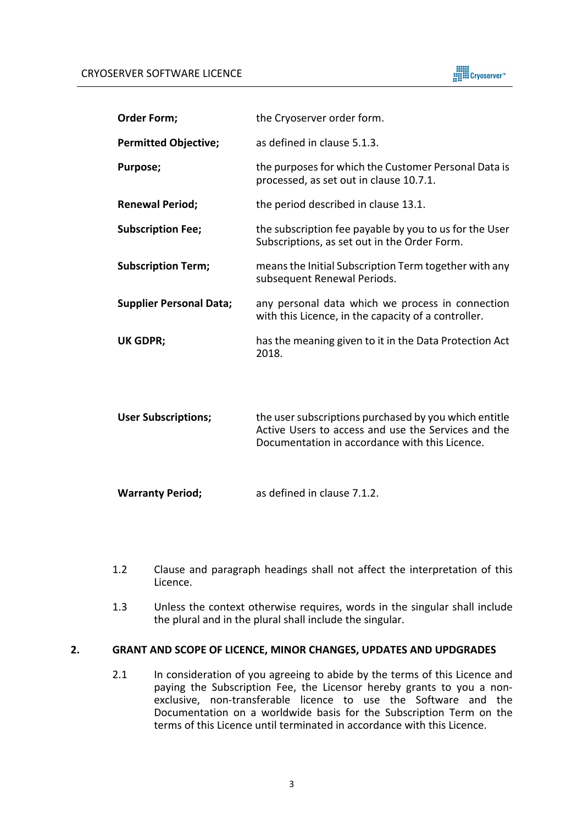

| <b>Order Form;</b>             | the Cryoserver order form.                                                                                                                                     |  |
|--------------------------------|----------------------------------------------------------------------------------------------------------------------------------------------------------------|--|
| <b>Permitted Objective;</b>    | as defined in clause 5.1.3.                                                                                                                                    |  |
| Purpose;                       | the purposes for which the Customer Personal Data is<br>processed, as set out in clause 10.7.1.                                                                |  |
| <b>Renewal Period;</b>         | the period described in clause 13.1.                                                                                                                           |  |
| <b>Subscription Fee;</b>       | the subscription fee payable by you to us for the User<br>Subscriptions, as set out in the Order Form.                                                         |  |
| <b>Subscription Term;</b>      | means the Initial Subscription Term together with any<br>subsequent Renewal Periods.                                                                           |  |
| <b>Supplier Personal Data;</b> | any personal data which we process in connection<br>with this Licence, in the capacity of a controller.                                                        |  |
| <b>UK GDPR;</b>                | has the meaning given to it in the Data Protection Act<br>2018.                                                                                                |  |
| <b>User Subscriptions;</b>     | the user subscriptions purchased by you which entitle<br>Active Users to access and use the Services and the<br>Documentation in accordance with this Licence. |  |

| <b>Warranty Period;</b> | as defined in clause 7.1.2. |
|-------------------------|-----------------------------|
|-------------------------|-----------------------------|

- 1.2 Clause and paragraph headings shall not affect the interpretation of this Licence.
- 1.3 Unless the context otherwise requires, words in the singular shall include the plural and in the plural shall include the singular.

# **2. GRANT AND SCOPE OF LICENCE, MINOR CHANGES, UPDATES AND UPDGRADES**

2.1 In consideration of you agreeing to abide by the terms of this Licence and paying the Subscription Fee, the Licensor hereby grants to you a nonexclusive, non-transferable licence to use the Software and the Documentation on a worldwide basis for the Subscription Term on the terms of this Licence until terminated in accordance with this Licence.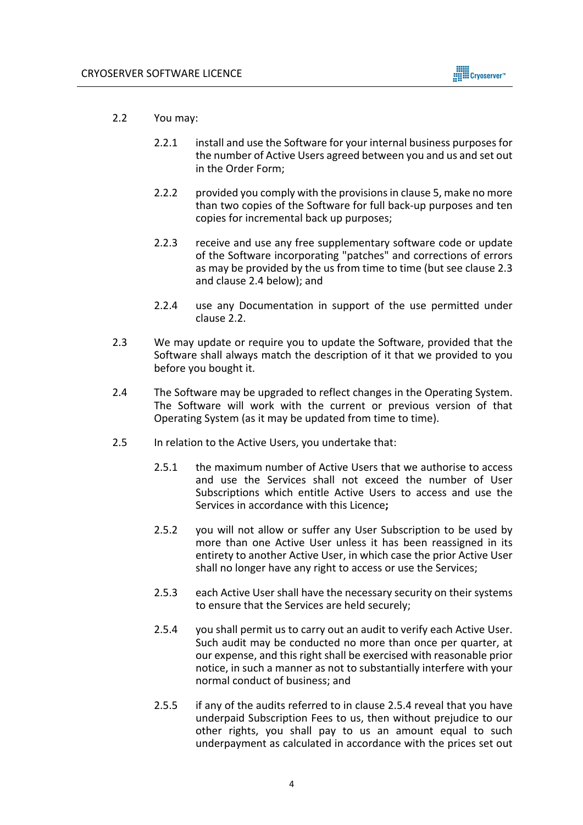

- 2.2 You may:
	- 2.2.1 install and use the Software for your internal business purposes for the number of Active Users agreed between you and us and set out in the Order Form;
	- 2.2.2 provided you comply with the provisions in clause 5, make no more than two copies of the Software for full back-up purposes and ten copies for incremental back up purposes;
	- 2.2.3 receive and use any free supplementary software code or update of the Software incorporating "patches" and corrections of errors as may be provided by the us from time to time (but see clause 2.3 and clause 2.4 below); and
	- 2.2.4 use any Documentation in support of the use permitted under clause 2.2.
- 2.3 We may update or require you to update the Software, provided that the Software shall always match the description of it that we provided to you before you bought it.
- 2.4 The Software may be upgraded to reflect changes in the Operating System. The Software will work with the current or previous version of that Operating System (as it may be updated from time to time).
- 2.5 In relation to the Active Users, you undertake that:
	- 2.5.1 the maximum number of Active Users that we authorise to access and use the Services shall not exceed the number of User Subscriptions which entitle Active Users to access and use the Services in accordance with this Licence**;**
	- 2.5.2 you will not allow or suffer any User Subscription to be used by more than one Active User unless it has been reassigned in its entirety to another Active User, in which case the prior Active User shall no longer have any right to access or use the Services;
	- 2.5.3 each Active User shall have the necessary security on their systems to ensure that the Services are held securely;
	- 2.5.4 you shall permit us to carry out an audit to verify each Active User. Such audit may be conducted no more than once per quarter, at our expense, and this right shall be exercised with reasonable prior notice, in such a manner as not to substantially interfere with your normal conduct of business; and
	- 2.5.5 if any of the audits referred to in clause 2.5.4 reveal that you have underpaid Subscription Fees to us, then without prejudice to our other rights, you shall pay to us an amount equal to such underpayment as calculated in accordance with the prices set out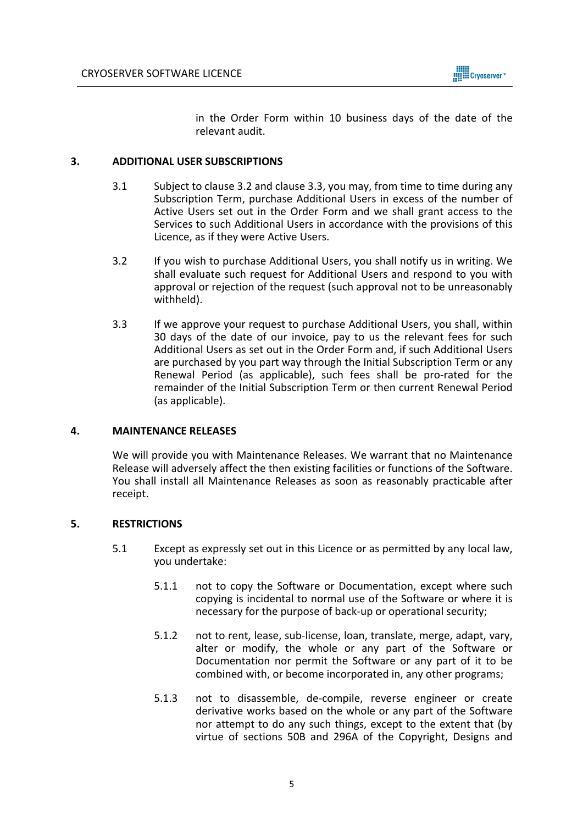

in the Order Form within 10 business days of the date of the relevant audit.

## **3. ADDITIONAL USER SUBSCRIPTIONS**

- 3.1 Subject to clause 3.2 and clause 3.3, you may, from time to time during any Subscription Term, purchase Additional Users in excess of the number of Active Users set out in the Order Form and we shall grant access to the Services to such Additional Users in accordance with the provisions of this Licence, as if they were Active Users.
- 3.2 If you wish to purchase Additional Users, you shall notify us in writing. We shall evaluate such request for Additional Users and respond to you with approval or rejection of the request (such approval not to be unreasonably withheld).
- 3.3 If we approve your request to purchase Additional Users, you shall, within 30 days of the date of our invoice, pay to us the relevant fees for such Additional Users as set out in the Order Form and, if such Additional Users are purchased by you part way through the Initial Subscription Term or any Renewal Period (as applicable), such fees shall be pro-rated for the remainder of the Initial Subscription Term or then current Renewal Period (as applicable).

## **4. MAINTENANCE RELEASES**

We will provide you with Maintenance Releases. We warrant that no Maintenance Release will adversely affect the then existing facilities or functions of the Software. You shall install all Maintenance Releases as soon as reasonably practicable after receipt.

## **5. RESTRICTIONS**

- 5.1 Except as expressly set out in this Licence or as permitted by any local law, you undertake:
	- 5.1.1 not to copy the Software or Documentation, except where such copying is incidental to normal use of the Software or where it is necessary for the purpose of back-up or operational security;
	- 5.1.2 not to rent, lease, sub-license, loan, translate, merge, adapt, vary, alter or modify, the whole or any part of the Software or Documentation nor permit the Software or any part of it to be combined with, or become incorporated in, any other programs;
	- 5.1.3 not to disassemble, de-compile, reverse engineer or create derivative works based on the whole or any part of the Software nor attempt to do any such things, except to the extent that (by virtue of sections 50B and 296A of the Copyright, Designs and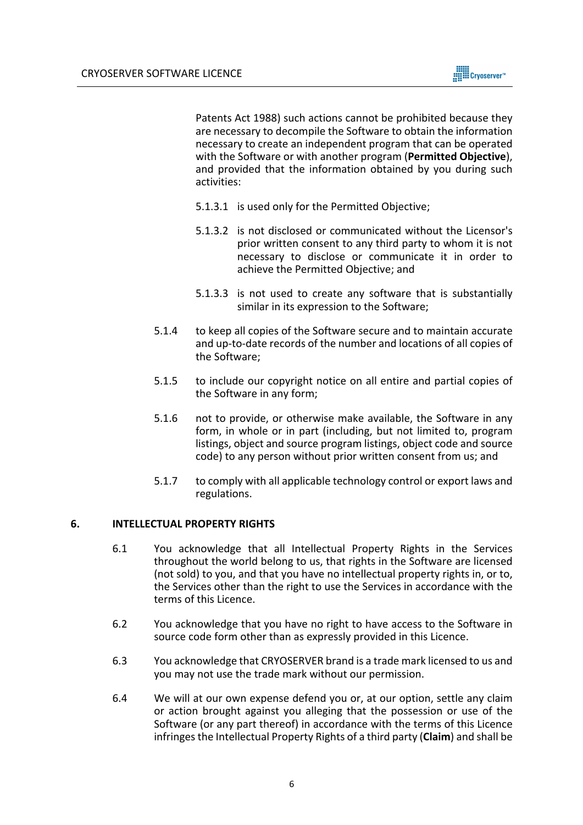

Patents Act 1988) such actions cannot be prohibited because they are necessary to decompile the Software to obtain the information necessary to create an independent program that can be operated with the Software or with another program (**Permitted Objective**), and provided that the information obtained by you during such activities:

- 5.1.3.1 is used only for the Permitted Objective;
- 5.1.3.2 is not disclosed or communicated without the Licensor's prior written consent to any third party to whom it is not necessary to disclose or communicate it in order to achieve the Permitted Objective; and
- 5.1.3.3 is not used to create any software that is substantially similar in its expression to the Software;
- 5.1.4 to keep all copies of the Software secure and to maintain accurate and up-to-date records of the number and locations of all copies of the Software;
- 5.1.5 to include our copyright notice on all entire and partial copies of the Software in any form;
- 5.1.6 not to provide, or otherwise make available, the Software in any form, in whole or in part (including, but not limited to, program listings, object and source program listings, object code and source code) to any person without prior written consent from us; and
- 5.1.7 to comply with all applicable technology control or export laws and regulations.

## **6. INTELLECTUAL PROPERTY RIGHTS**

- 6.1 You acknowledge that all Intellectual Property Rights in the Services throughout the world belong to us, that rights in the Software are licensed (not sold) to you, and that you have no intellectual property rights in, or to, the Services other than the right to use the Services in accordance with the terms of this Licence.
- 6.2 You acknowledge that you have no right to have access to the Software in source code form other than as expressly provided in this Licence.
- 6.3 You acknowledge that CRYOSERVER brand is a trade mark licensed to us and you may not use the trade mark without our permission.
- 6.4 We will at our own expense defend you or, at our option, settle any claim or action brought against you alleging that the possession or use of the Software (or any part thereof) in accordance with the terms of this Licence infringes the Intellectual Property Rights of a third party (**Claim**) and shall be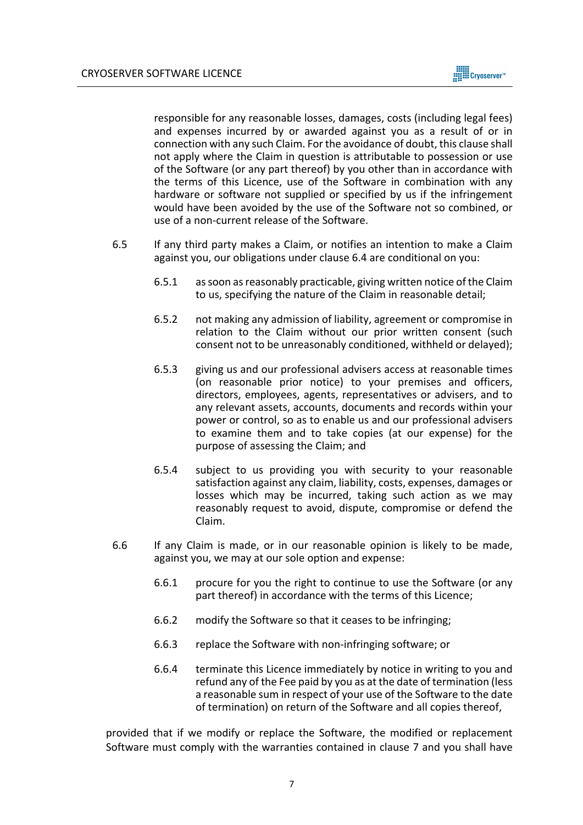

responsible for any reasonable losses, damages, costs (including legal fees) and expenses incurred by or awarded against you as a result of or in connection with any such Claim. For the avoidance of doubt, this clause shall not apply where the Claim in question is attributable to possession or use of the Software (or any part thereof) by you other than in accordance with the terms of this Licence, use of the Software in combination with any hardware or software not supplied or specified by us if the infringement would have been avoided by the use of the Software not so combined, or use of a non-current release of the Software.

- 6.5 If any third party makes a Claim, or notifies an intention to make a Claim against you, our obligations under clause 6.4 are conditional on you:
	- 6.5.1 as soon as reasonably practicable, giving written notice of the Claim to us, specifying the nature of the Claim in reasonable detail;
	- 6.5.2 not making any admission of liability, agreement or compromise in relation to the Claim without our prior written consent (such consent not to be unreasonably conditioned, withheld or delayed);
	- 6.5.3 giving us and our professional advisers access at reasonable times (on reasonable prior notice) to your premises and officers, directors, employees, agents, representatives or advisers, and to any relevant assets, accounts, documents and records within your power or control, so as to enable us and our professional advisers to examine them and to take copies (at our expense) for the purpose of assessing the Claim; and
	- 6.5.4 subject to us providing you with security to your reasonable satisfaction against any claim, liability, costs, expenses, damages or losses which may be incurred, taking such action as we may reasonably request to avoid, dispute, compromise or defend the Claim.
- 6.6 If any Claim is made, or in our reasonable opinion is likely to be made, against you, we may at our sole option and expense:
	- 6.6.1 procure for you the right to continue to use the Software (or any part thereof) in accordance with the terms of this Licence;
	- 6.6.2 modify the Software so that it ceases to be infringing;
	- 6.6.3 replace the Software with non-infringing software; or
	- 6.6.4 terminate this Licence immediately by notice in writing to you and refund any of the Fee paid by you as at the date of termination (less a reasonable sum in respect of your use of the Software to the date of termination) on return of the Software and all copies thereof,

provided that if we modify or replace the Software, the modified or replacement Software must comply with the warranties contained in clause 7 and you shall have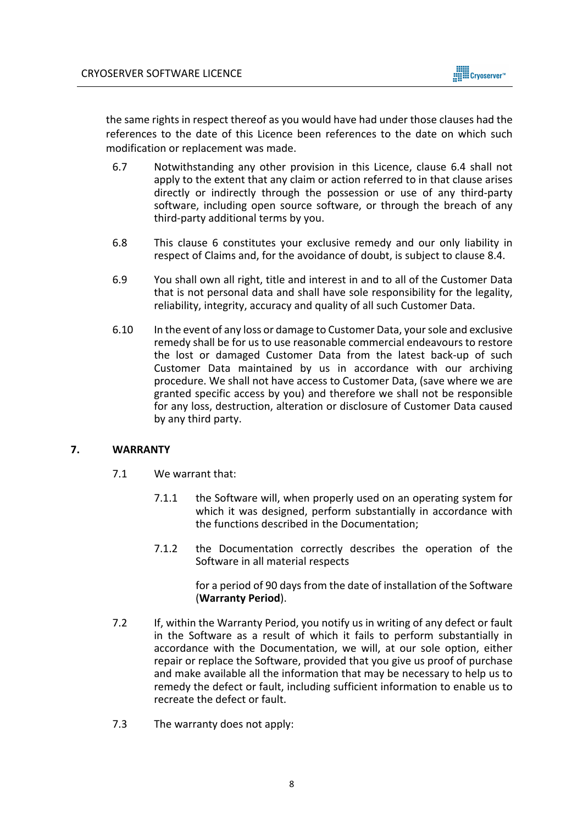

the same rights in respect thereof as you would have had under those clauses had the references to the date of this Licence been references to the date on which such modification or replacement was made.

- 6.7 Notwithstanding any other provision in this Licence, clause 6.4 shall not apply to the extent that any claim or action referred to in that clause arises directly or indirectly through the possession or use of any third-party software, including open source software, or through the breach of any third-party additional terms by you.
- 6.8 This clause 6 constitutes your exclusive remedy and our only liability in respect of Claims and, for the avoidance of doubt, is subject to clause 8.4.
- 6.9 You shall own all right, title and interest in and to all of the Customer Data that is not personal data and shall have sole responsibility for the legality, reliability, integrity, accuracy and quality of all such Customer Data.
- 6.10 In the event of any loss or damage to Customer Data, your sole and exclusive remedy shall be for us to use reasonable commercial endeavours to restore the lost or damaged Customer Data from the latest back-up of such Customer Data maintained by us in accordance with our archiving procedure. We shall not have access to Customer Data, (save where we are granted specific access by you) and therefore we shall not be responsible for any loss, destruction, alteration or disclosure of Customer Data caused by any third party.

## **7. WARRANTY**

- 7.1 We warrant that:
	- 7.1.1 the Software will, when properly used on an operating system for which it was designed, perform substantially in accordance with the functions described in the Documentation;
	- 7.1.2 the Documentation correctly describes the operation of the Software in all material respects

for a period of 90 days from the date of installation of the Software (**Warranty Period**).

- 7.2 If, within the Warranty Period, you notify us in writing of any defect or fault in the Software as a result of which it fails to perform substantially in accordance with the Documentation, we will, at our sole option, either repair or replace the Software, provided that you give us proof of purchase and make available all the information that may be necessary to help us to remedy the defect or fault, including sufficient information to enable us to recreate the defect or fault.
- 7.3 The warranty does not apply: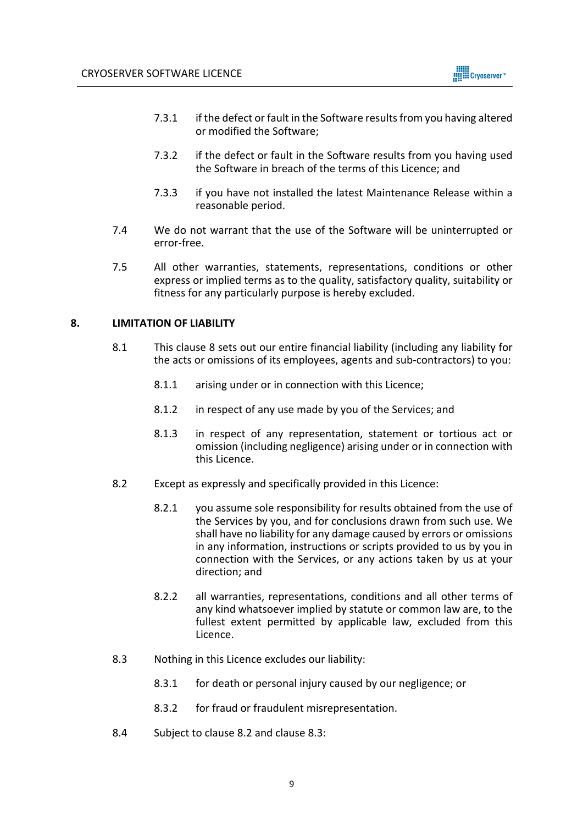

- 7.3.1 if the defect or fault in the Software results from you having altered or modified the Software;
- 7.3.2 if the defect or fault in the Software results from you having used the Software in breach of the terms of this Licence; and
- 7.3.3 if you have not installed the latest Maintenance Release within a reasonable period.
- 7.4 We do not warrant that the use of the Software will be uninterrupted or error-free.
- 7.5 All other warranties, statements, representations, conditions or other express or implied terms as to the quality, satisfactory quality, suitability or fitness for any particularly purpose is hereby excluded.

## **8. LIMITATION OF LIABILITY**

- 8.1 This clause 8 sets out our entire financial liability (including any liability for the acts or omissions of its employees, agents and sub-contractors) to you:
	- 8.1.1 arising under or in connection with this Licence;
	- 8.1.2 in respect of any use made by you of the Services; and
	- 8.1.3 in respect of any representation, statement or tortious act or omission (including negligence) arising under or in connection with this Licence.
- 8.2 Except as expressly and specifically provided in this Licence:
	- 8.2.1 you assume sole responsibility for results obtained from the use of the Services by you, and for conclusions drawn from such use. We shall have no liability for any damage caused by errors or omissions in any information, instructions or scripts provided to us by you in connection with the Services, or any actions taken by us at your direction; and
	- 8.2.2 all warranties, representations, conditions and all other terms of any kind whatsoever implied by statute or common law are, to the fullest extent permitted by applicable law, excluded from this Licence.
- 8.3 Nothing in this Licence excludes our liability:
	- 8.3.1 for death or personal injury caused by our negligence; or
	- 8.3.2 for fraud or fraudulent misrepresentation.
- 8.4 Subject to clause 8.2 and clause 8.3: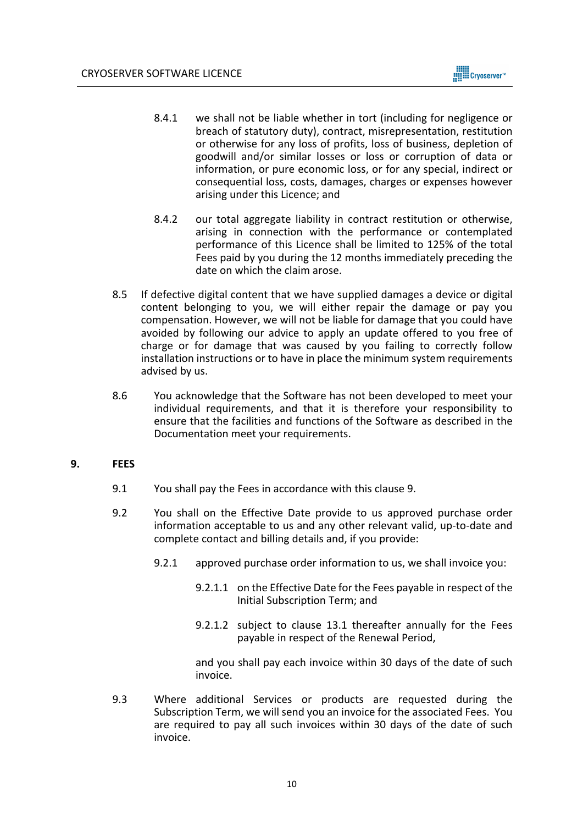

- 8.4.1 we shall not be liable whether in tort (including for negligence or breach of statutory duty), contract, misrepresentation, restitution or otherwise for any loss of profits, loss of business, depletion of goodwill and/or similar losses or loss or corruption of data or information, or pure economic loss, or for any special, indirect or consequential loss, costs, damages, charges or expenses however arising under this Licence; and
- 8.4.2 our total aggregate liability in contract restitution or otherwise, arising in connection with the performance or contemplated performance of this Licence shall be limited to 125% of the total Fees paid by you during the 12 months immediately preceding the date on which the claim arose.
- 8.5 If defective digital content that we have supplied damages a device or digital content belonging to you, we will either repair the damage or pay you compensation. However, we will not be liable for damage that you could have avoided by following our advice to apply an update offered to you free of charge or for damage that was caused by you failing to correctly follow installation instructions or to have in place the minimum system requirements advised by us.
- 8.6 You acknowledge that the Software has not been developed to meet your individual requirements, and that it is therefore your responsibility to ensure that the facilities and functions of the Software as described in the Documentation meet your requirements.

## **9. FEES**

- 9.1 You shall pay the Fees in accordance with this clause 9.
- 9.2 You shall on the Effective Date provide to us approved purchase order information acceptable to us and any other relevant valid, up-to-date and complete contact and billing details and, if you provide:
	- 9.2.1 approved purchase order information to us, we shall invoice you:
		- 9.2.1.1 on the Effective Date for the Fees payable in respect of the Initial Subscription Term; and
		- 9.2.1.2 subject to clause 13.1 thereafter annually for the Fees payable in respect of the Renewal Period,

and you shall pay each invoice within 30 days of the date of such invoice.

9.3 Where additional Services or products are requested during the Subscription Term, we will send you an invoice for the associated Fees. You are required to pay all such invoices within 30 days of the date of such invoice.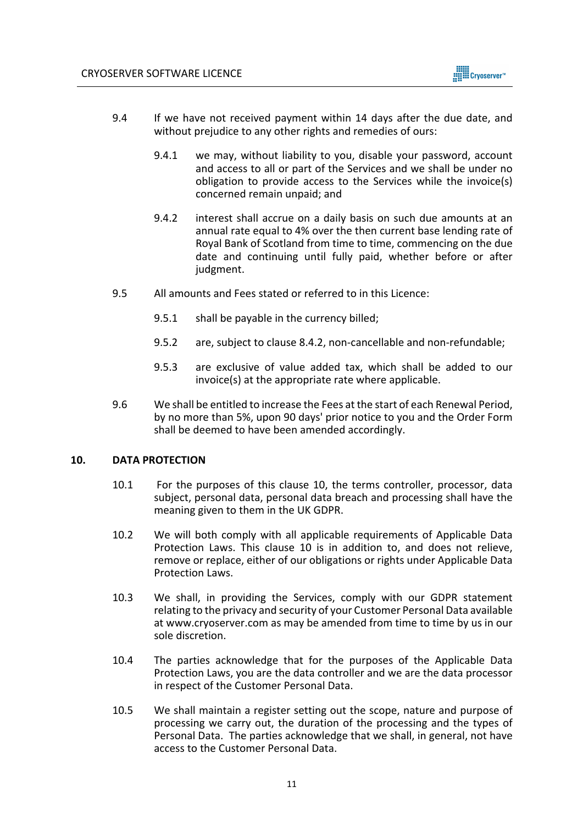

- 9.4 If we have not received payment within 14 days after the due date, and without prejudice to any other rights and remedies of ours:
	- 9.4.1 we may, without liability to you, disable your password, account and access to all or part of the Services and we shall be under no obligation to provide access to the Services while the invoice(s) concerned remain unpaid; and
	- 9.4.2 interest shall accrue on a daily basis on such due amounts at an annual rate equal to 4% over the then current base lending rate of Royal Bank of Scotland from time to time, commencing on the due date and continuing until fully paid, whether before or after judgment.
- 9.5 All amounts and Fees stated or referred to in this Licence:
	- 9.5.1 shall be payable in the currency billed;
	- 9.5.2 are, subject to clause 8.4.2, non-cancellable and non-refundable;
	- 9.5.3 are exclusive of value added tax, which shall be added to our invoice(s) at the appropriate rate where applicable.
- 9.6 We shall be entitled to increase the Fees at the start of each Renewal Period, by no more than 5%, upon 90 days' prior notice to you and the Order Form shall be deemed to have been amended accordingly.

## **10. DATA PROTECTION**

- 10.1 For the purposes of this clause 10, the terms controller, processor, data subject, personal data, personal data breach and processing shall have the meaning given to them in the UK GDPR.
- 10.2 We will both comply with all applicable requirements of Applicable Data Protection Laws. This clause 10 is in addition to, and does not relieve, remove or replace, either of our obligations or rights under Applicable Data Protection Laws.
- 10.3 We shall, in providing the Services, comply with our GDPR statement relating to the privacy and security of your Customer Personal Data available at www.cryoserver.com as may be amended from time to time by us in our sole discretion.
- 10.4 The parties acknowledge that for the purposes of the Applicable Data Protection Laws, you are the data controller and we are the data processor in respect of the Customer Personal Data.
- 10.5 We shall maintain a register setting out the scope, nature and purpose of processing we carry out, the duration of the processing and the types of Personal Data. The parties acknowledge that we shall, in general, not have access to the Customer Personal Data.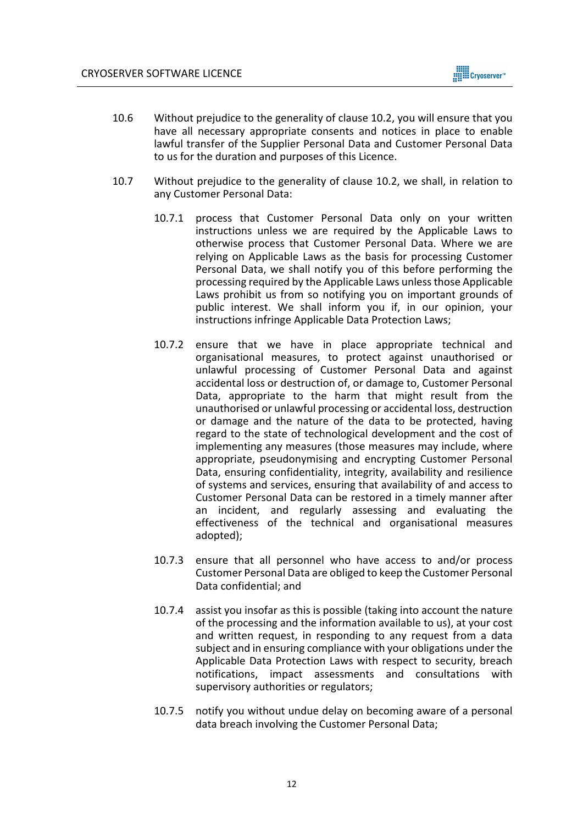

- 10.6 Without prejudice to the generality of clause 10.2, you will ensure that you have all necessary appropriate consents and notices in place to enable lawful transfer of the Supplier Personal Data and Customer Personal Data to us for the duration and purposes of this Licence.
- 10.7 Without prejudice to the generality of clause 10.2, we shall, in relation to any Customer Personal Data:
	- 10.7.1 process that Customer Personal Data only on your written instructions unless we are required by the Applicable Laws to otherwise process that Customer Personal Data. Where we are relying on Applicable Laws as the basis for processing Customer Personal Data, we shall notify you of this before performing the processing required by the Applicable Laws unless those Applicable Laws prohibit us from so notifying you on important grounds of public interest. We shall inform you if, in our opinion, your instructions infringe Applicable Data Protection Laws;
	- 10.7.2 ensure that we have in place appropriate technical and organisational measures, to protect against unauthorised or unlawful processing of Customer Personal Data and against accidental loss or destruction of, or damage to, Customer Personal Data, appropriate to the harm that might result from the unauthorised or unlawful processing or accidental loss, destruction or damage and the nature of the data to be protected, having regard to the state of technological development and the cost of implementing any measures (those measures may include, where appropriate, pseudonymising and encrypting Customer Personal Data, ensuring confidentiality, integrity, availability and resilience of systems and services, ensuring that availability of and access to Customer Personal Data can be restored in a timely manner after an incident, and regularly assessing and evaluating the effectiveness of the technical and organisational measures adopted);
	- 10.7.3 ensure that all personnel who have access to and/or process Customer Personal Data are obliged to keep the Customer Personal Data confidential; and
	- 10.7.4 assist you insofar as this is possible (taking into account the nature of the processing and the information available to us), at your cost and written request, in responding to any request from a data subject and in ensuring compliance with your obligations under the Applicable Data Protection Laws with respect to security, breach notifications, impact assessments and consultations with supervisory authorities or regulators;
	- 10.7.5 notify you without undue delay on becoming aware of a personal data breach involving the Customer Personal Data;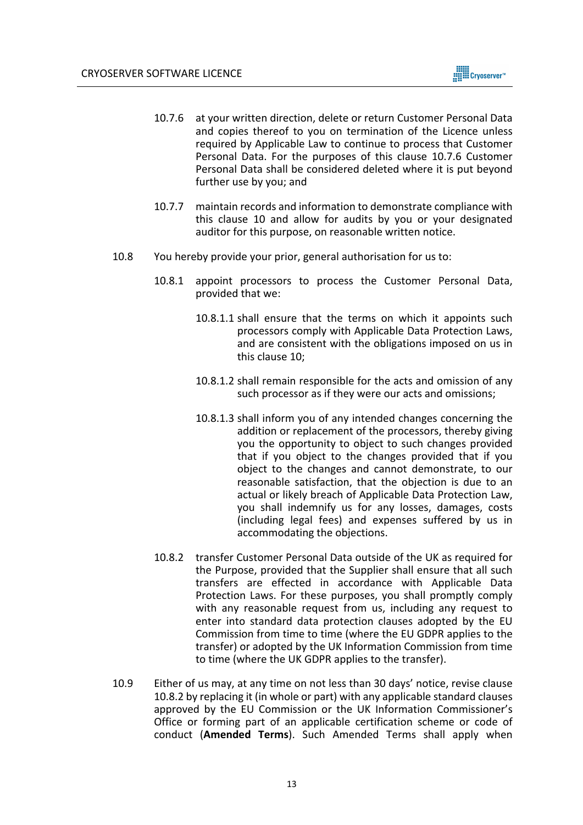

- 10.7.6 at your written direction, delete or return Customer Personal Data and copies thereof to you on termination of the Licence unless required by Applicable Law to continue to process that Customer Personal Data. For the purposes of this clause 10.7.6 Customer Personal Data shall be considered deleted where it is put beyond further use by you; and
- 10.7.7 maintain records and information to demonstrate compliance with this clause 10 and allow for audits by you or your designated auditor for this purpose, on reasonable written notice.
- 10.8 You hereby provide your prior, general authorisation for us to:
	- 10.8.1 appoint processors to process the Customer Personal Data, provided that we:
		- 10.8.1.1 shall ensure that the terms on which it appoints such processors comply with Applicable Data Protection Laws, and are consistent with the obligations imposed on us in this clause 10;
		- 10.8.1.2 shall remain responsible for the acts and omission of any such processor as if they were our acts and omissions;
		- 10.8.1.3 shall inform you of any intended changes concerning the addition or replacement of the processors, thereby giving you the opportunity to object to such changes provided that if you object to the changes provided that if you object to the changes and cannot demonstrate, to our reasonable satisfaction, that the objection is due to an actual or likely breach of Applicable Data Protection Law, you shall indemnify us for any losses, damages, costs (including legal fees) and expenses suffered by us in accommodating the objections.
	- 10.8.2 transfer Customer Personal Data outside of the UK as required for the Purpose, provided that the Supplier shall ensure that all such transfers are effected in accordance with Applicable Data Protection Laws. For these purposes, you shall promptly comply with any reasonable request from us, including any request to enter into standard data protection clauses adopted by the EU Commission from time to time (where the EU GDPR applies to the transfer) or adopted by the UK Information Commission from time to time (where the UK GDPR applies to the transfer).
- 10.9 Either of us may, at any time on not less than 30 days' notice, revise clause 10.8.2 by replacing it (in whole or part) with any applicable standard clauses approved by the EU Commission or the UK Information Commissioner's Office or forming part of an applicable certification scheme or code of conduct (**Amended Terms**). Such Amended Terms shall apply when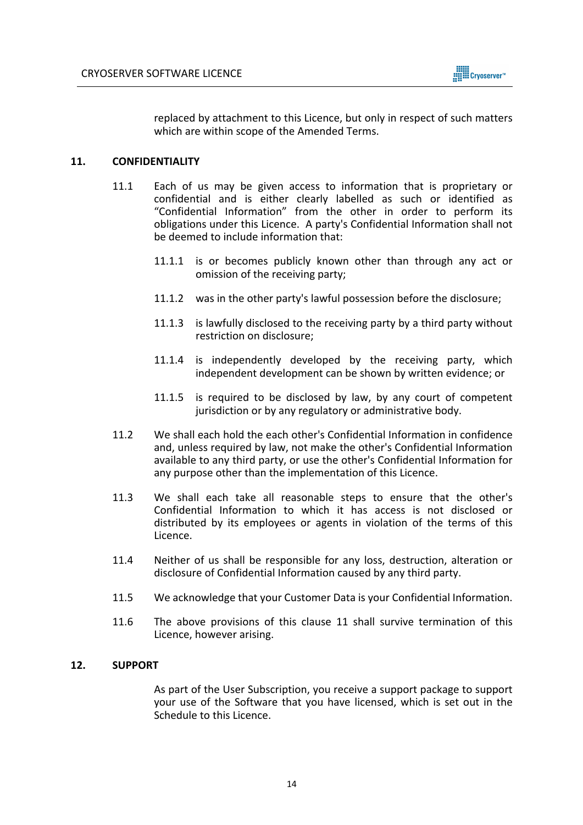

replaced by attachment to this Licence, but only in respect of such matters which are within scope of the Amended Terms.

## **11. CONFIDENTIALITY**

- 11.1 Each of us may be given access to information that is proprietary or confidential and is either clearly labelled as such or identified as "Confidential Information" from the other in order to perform its obligations under this Licence. A party's Confidential Information shall not be deemed to include information that:
	- 11.1.1 is or becomes publicly known other than through any act or omission of the receiving party;
	- 11.1.2 was in the other party's lawful possession before the disclosure;
	- 11.1.3 is lawfully disclosed to the receiving party by a third party without restriction on disclosure;
	- 11.1.4 is independently developed by the receiving party, which independent development can be shown by written evidence; or
	- 11.1.5 is required to be disclosed by law, by any court of competent jurisdiction or by any regulatory or administrative body.
- 11.2 We shall each hold the each other's Confidential Information in confidence and, unless required by law, not make the other's Confidential Information available to any third party, or use the other's Confidential Information for any purpose other than the implementation of this Licence.
- 11.3 We shall each take all reasonable steps to ensure that the other's Confidential Information to which it has access is not disclosed or distributed by its employees or agents in violation of the terms of this Licence.
- 11.4 Neither of us shall be responsible for any loss, destruction, alteration or disclosure of Confidential Information caused by any third party.
- 11.5 We acknowledge that your Customer Data is your Confidential Information.
- 11.6 The above provisions of this clause 11 shall survive termination of this Licence, however arising.

## **12. SUPPORT**

As part of the User Subscription, you receive a support package to support your use of the Software that you have licensed, which is set out in the Schedule to this Licence.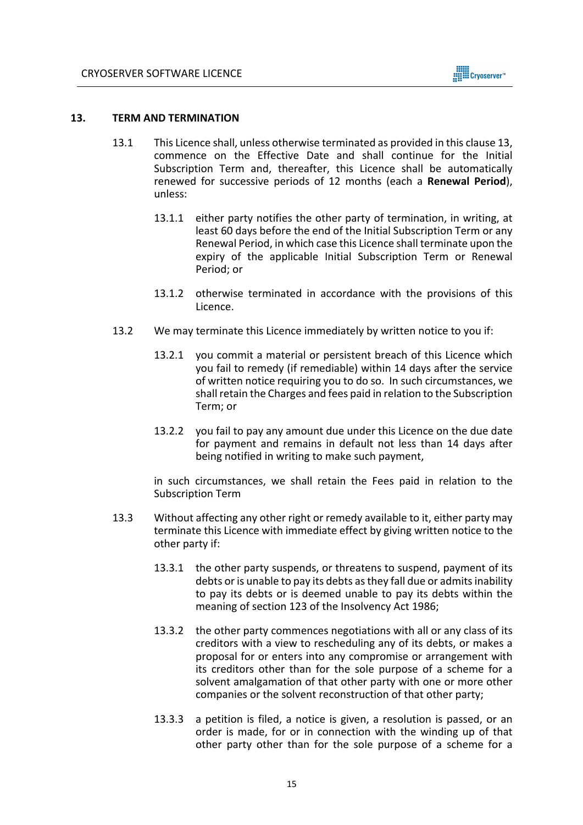

#### **13. TERM AND TERMINATION**

- 13.1 This Licence shall, unless otherwise terminated as provided in this clause 13, commence on the Effective Date and shall continue for the Initial Subscription Term and, thereafter, this Licence shall be automatically renewed for successive periods of 12 months (each a **Renewal Period**), unless:
	- 13.1.1 either party notifies the other party of termination, in writing, at least 60 days before the end of the Initial Subscription Term or any Renewal Period, in which case this Licence shall terminate upon the expiry of the applicable Initial Subscription Term or Renewal Period; or
	- 13.1.2 otherwise terminated in accordance with the provisions of this Licence.
- 13.2 We may terminate this Licence immediately by written notice to you if:
	- 13.2.1 you commit a material or persistent breach of this Licence which you fail to remedy (if remediable) within 14 days after the service of written notice requiring you to do so. In such circumstances, we shall retain the Charges and fees paid in relation to the Subscription Term; or
	- 13.2.2 you fail to pay any amount due under this Licence on the due date for payment and remains in default not less than 14 days after being notified in writing to make such payment,

in such circumstances, we shall retain the Fees paid in relation to the Subscription Term

- 13.3 Without affecting any other right or remedy available to it, either party may terminate this Licence with immediate effect by giving written notice to the other party if:
	- 13.3.1 the other party suspends, or threatens to suspend, payment of its debts or is unable to pay its debts as they fall due or admits inability to pay its debts or is deemed unable to pay its debts within the meaning of section 123 of the Insolvency Act 1986;
	- 13.3.2 the other party commences negotiations with all or any class of its creditors with a view to rescheduling any of its debts, or makes a proposal for or enters into any compromise or arrangement with its creditors other than for the sole purpose of a scheme for a solvent amalgamation of that other party with one or more other companies or the solvent reconstruction of that other party;
	- 13.3.3 a petition is filed, a notice is given, a resolution is passed, or an order is made, for or in connection with the winding up of that other party other than for the sole purpose of a scheme for a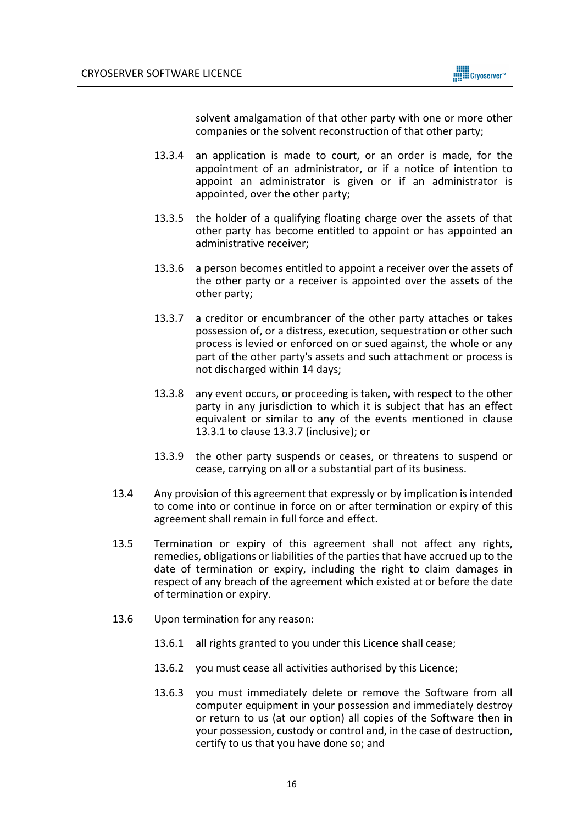

solvent amalgamation of that other party with one or more other companies or the solvent reconstruction of that other party;

- 13.3.4 an application is made to court, or an order is made, for the appointment of an administrator, or if a notice of intention to appoint an administrator is given or if an administrator is appointed, over the other party;
- 13.3.5 the holder of a qualifying floating charge over the assets of that other party has become entitled to appoint or has appointed an administrative receiver;
- 13.3.6 a person becomes entitled to appoint a receiver over the assets of the other party or a receiver is appointed over the assets of the other party;
- 13.3.7 a creditor or encumbrancer of the other party attaches or takes possession of, or a distress, execution, sequestration or other such process is levied or enforced on or sued against, the whole or any part of the other party's assets and such attachment or process is not discharged within 14 days;
- 13.3.8 any event occurs, or proceeding is taken, with respect to the other party in any jurisdiction to which it is subject that has an effect equivalent or similar to any of the events mentioned in clause 13.3.1 to clause 13.3.7 (inclusive); or
- 13.3.9 the other party suspends or ceases, or threatens to suspend or cease, carrying on all or a substantial part of its business.
- 13.4 Any provision of this agreement that expressly or by implication is intended to come into or continue in force on or after termination or expiry of this agreement shall remain in full force and effect.
- 13.5 Termination or expiry of this agreement shall not affect any rights, remedies, obligations or liabilities of the parties that have accrued up to the date of termination or expiry, including the right to claim damages in respect of any breach of the agreement which existed at or before the date of termination or expiry.
- 13.6 Upon termination for any reason:
	- 13.6.1 all rights granted to you under this Licence shall cease;
	- 13.6.2 you must cease all activities authorised by this Licence;
	- 13.6.3 you must immediately delete or remove the Software from all computer equipment in your possession and immediately destroy or return to us (at our option) all copies of the Software then in your possession, custody or control and, in the case of destruction, certify to us that you have done so; and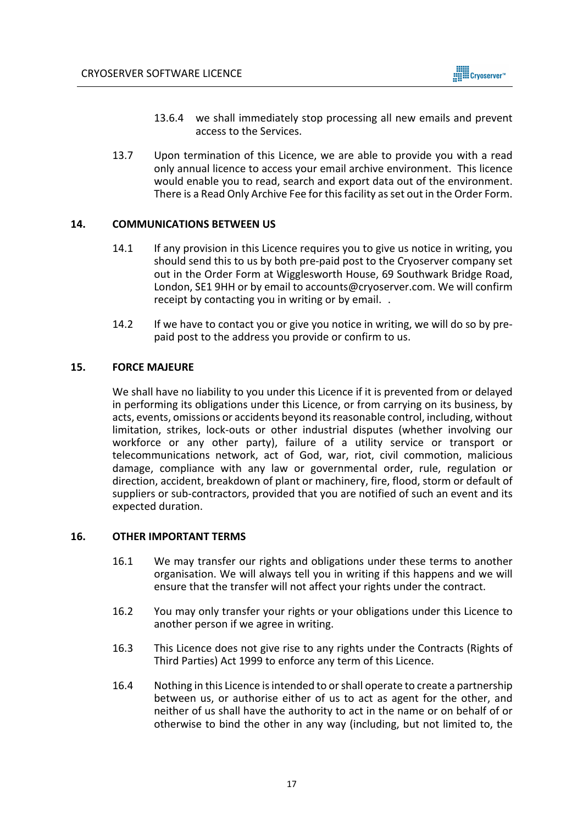

- 13.6.4 we shall immediately stop processing all new emails and prevent access to the Services.
- 13.7 Upon termination of this Licence, we are able to provide you with a read only annual licence to access your email archive environment. This licence would enable you to read, search and export data out of the environment. There is a Read Only Archive Fee for this facility as set out in the Order Form.

# **14. COMMUNICATIONS BETWEEN US**

- 14.1 If any provision in this Licence requires you to give us notice in writing, you should send this to us by both pre-paid post to the Cryoserver company set out in the Order Form at Wigglesworth House, 69 Southwark Bridge Road, London, SE1 9HH or by email to accounts@cryoserver.com. We will confirm receipt by contacting you in writing or by email. .
- 14.2 If we have to contact you or give you notice in writing, we will do so by prepaid post to the address you provide or confirm to us.

## **15. FORCE MAJEURE**

We shall have no liability to you under this Licence if it is prevented from or delayed in performing its obligations under this Licence, or from carrying on its business, by acts, events, omissions or accidents beyond its reasonable control, including, without limitation, strikes, lock-outs or other industrial disputes (whether involving our workforce or any other party), failure of a utility service or transport or telecommunications network, act of God, war, riot, civil commotion, malicious damage, compliance with any law or governmental order, rule, regulation or direction, accident, breakdown of plant or machinery, fire, flood, storm or default of suppliers or sub-contractors, provided that you are notified of such an event and its expected duration.

## **16. OTHER IMPORTANT TERMS**

- 16.1 We may transfer our rights and obligations under these terms to another organisation. We will always tell you in writing if this happens and we will ensure that the transfer will not affect your rights under the contract.
- 16.2 You may only transfer your rights or your obligations under this Licence to another person if we agree in writing.
- 16.3 This Licence does not give rise to any rights under the Contracts (Rights of Third Parties) Act 1999 to enforce any term of this Licence.
- 16.4 Nothing in this Licence is intended to or shall operate to create a partnership between us, or authorise either of us to act as agent for the other, and neither of us shall have the authority to act in the name or on behalf of or otherwise to bind the other in any way (including, but not limited to, the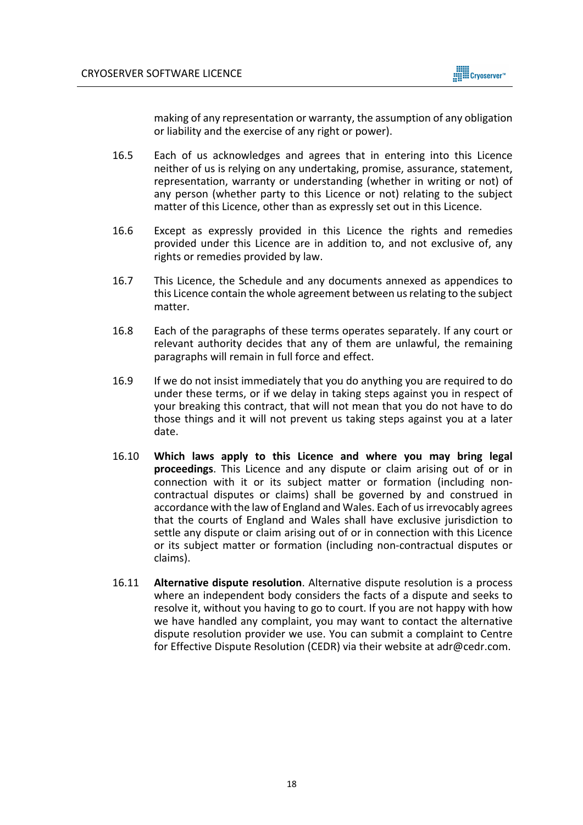

making of any representation or warranty, the assumption of any obligation or liability and the exercise of any right or power).

- 16.5 Each of us acknowledges and agrees that in entering into this Licence neither of us is relying on any undertaking, promise, assurance, statement, representation, warranty or understanding (whether in writing or not) of any person (whether party to this Licence or not) relating to the subject matter of this Licence, other than as expressly set out in this Licence.
- 16.6 Except as expressly provided in this Licence the rights and remedies provided under this Licence are in addition to, and not exclusive of, any rights or remedies provided by law.
- 16.7 This Licence, the Schedule and any documents annexed as appendices to this Licence contain the whole agreement between us relating to the subject matter.
- 16.8 Each of the paragraphs of these terms operates separately. If any court or relevant authority decides that any of them are unlawful, the remaining paragraphs will remain in full force and effect.
- 16.9 If we do not insist immediately that you do anything you are required to do under these terms, or if we delay in taking steps against you in respect of your breaking this contract, that will not mean that you do not have to do those things and it will not prevent us taking steps against you at a later date.
- 16.10 **Which laws apply to this Licence and where you may bring legal proceedings**. This Licence and any dispute or claim arising out of or in connection with it or its subject matter or formation (including noncontractual disputes or claims) shall be governed by and construed in accordance with the law of England and Wales. Each of us irrevocably agrees that the courts of England and Wales shall have exclusive jurisdiction to settle any dispute or claim arising out of or in connection with this Licence or its subject matter or formation (including non-contractual disputes or claims).
- 16.11 **Alternative dispute resolution**. Alternative dispute resolution is a process where an independent body considers the facts of a dispute and seeks to resolve it, without you having to go to court. If you are not happy with how we have handled any complaint, you may want to contact the alternative dispute resolution provider we use. You can submit a complaint to Centre for Effective Dispute Resolution (CEDR) via their website at adr@cedr.com.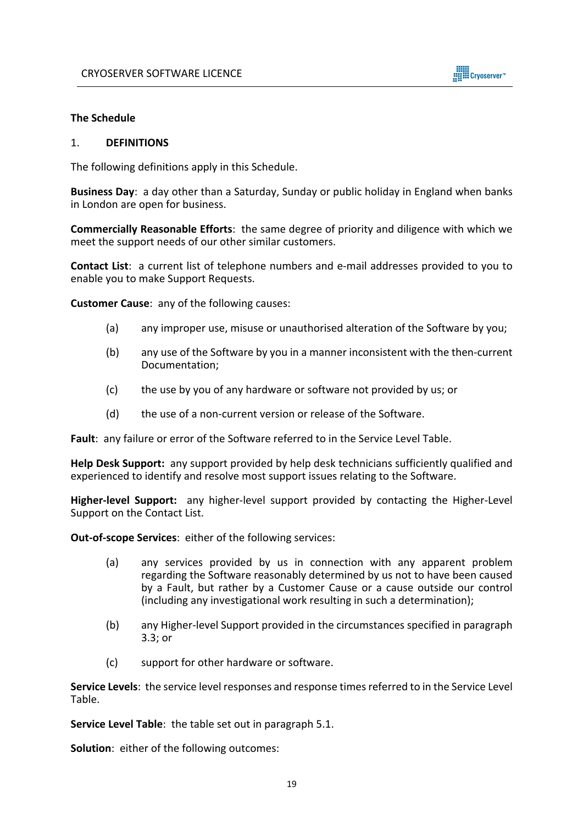

## **The Schedule**

#### 1. **DEFINITIONS**

The following definitions apply in this Schedule.

**Business Day**: a day other than a Saturday, Sunday or public holiday in England when banks in London are open for business.

**Commercially Reasonable Efforts**: the same degree of priority and diligence with which we meet the support needs of our other similar customers.

**Contact List**: a current list of telephone numbers and e-mail addresses provided to you to enable you to make Support Requests.

**Customer Cause**: any of the following causes:

- (a) any improper use, misuse or unauthorised alteration of the Software by you;
- (b) any use of the Software by you in a manner inconsistent with the then-current Documentation;
- (c) the use by you of any hardware or software not provided by us; or
- (d) the use of a non-current version or release of the Software.

**Fault**: any failure or error of the Software referred to in the Service Level Table.

**Help Desk Support:** any support provided by help desk technicians sufficiently qualified and experienced to identify and resolve most support issues relating to the Software.

**Higher-level Support:** any higher-level support provided by contacting the Higher-Level Support on the Contact List.

**Out-of-scope Services**: either of the following services:

- (a) any services provided by us in connection with any apparent problem regarding the Software reasonably determined by us not to have been caused by a Fault, but rather by a Customer Cause or a cause outside our control (including any investigational work resulting in such a determination);
- (b) any Higher-level Support provided in the circumstances specified in paragraph 3.3; or
- (c) support for other hardware or software.

**Service Levels**: the service level responses and response times referred to in the Service Level Table.

**Service Level Table**: the table set out in paragraph 5.1.

**Solution**: either of the following outcomes: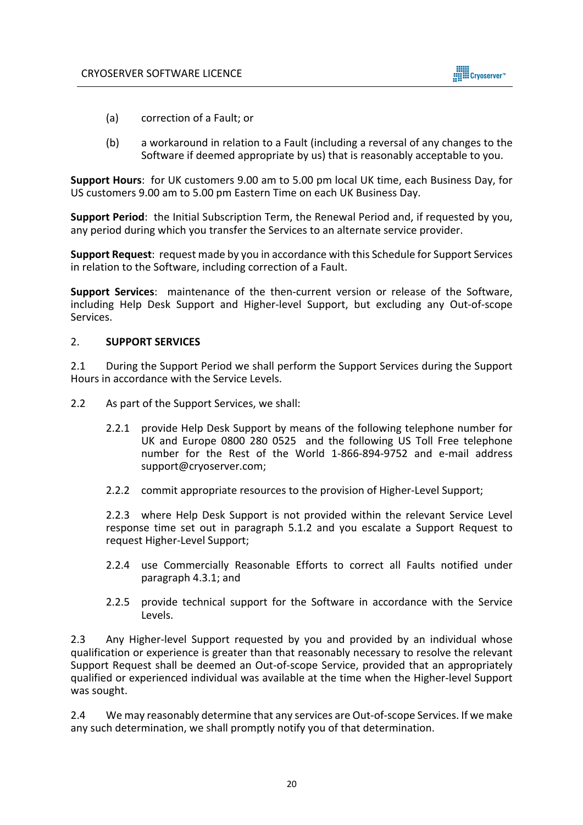

- (a) correction of a Fault; or
- (b) a workaround in relation to a Fault (including a reversal of any changes to the Software if deemed appropriate by us) that is reasonably acceptable to you.

**Support Hours**: for UK customers 9.00 am to 5.00 pm local UK time, each Business Day, for US customers 9.00 am to 5.00 pm Eastern Time on each UK Business Day.

**Support Period**: the Initial Subscription Term, the Renewal Period and, if requested by you, any period during which you transfer the Services to an alternate service provider.

**Support Request**: request made by you in accordance with this Schedule for Support Services in relation to the Software, including correction of a Fault.

**Support Services**: maintenance of the then-current version or release of the Software, including Help Desk Support and Higher-level Support, but excluding any Out-of-scope Services.

## 2. **SUPPORT SERVICES**

2.1 During the Support Period we shall perform the Support Services during the Support Hours in accordance with the Service Levels.

- 2.2 As part of the Support Services, we shall:
	- 2.2.1 provide Help Desk Support by means of the following telephone number for UK and Europe 0800 280 0525 and the following US Toll Free telephone number for the Rest of the World 1-866-894-9752 and e-mail address support@cryoserver.com;
	- 2.2.2 commit appropriate resources to the provision of Higher-Level Support;

2.2.3 where Help Desk Support is not provided within the relevant Service Level response time set out in paragraph 5.1.2 and you escalate a Support Request to request Higher-Level Support;

- 2.2.4 use Commercially Reasonable Efforts to correct all Faults notified under paragraph 4.3.1; and
- 2.2.5 provide technical support for the Software in accordance with the Service Levels.

2.3 Any Higher-level Support requested by you and provided by an individual whose qualification or experience is greater than that reasonably necessary to resolve the relevant Support Request shall be deemed an Out-of-scope Service, provided that an appropriately qualified or experienced individual was available at the time when the Higher-level Support was sought.

2.4 We may reasonably determine that any services are Out-of-scope Services. If we make any such determination, we shall promptly notify you of that determination.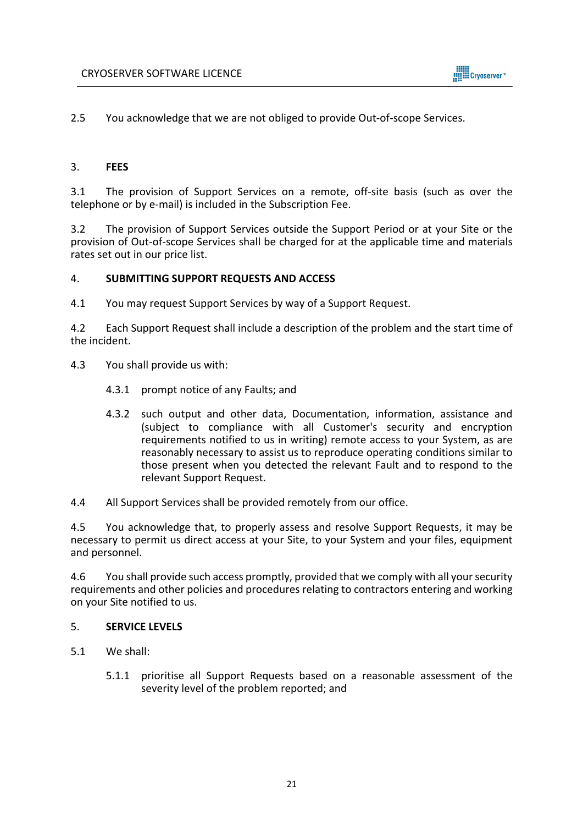2.5 You acknowledge that we are not obliged to provide Out-of-scope Services.

## 3. **FEES**

3.1 The provision of Support Services on a remote, off-site basis (such as over the telephone or by e-mail) is included in the Subscription Fee.

3.2 The provision of Support Services outside the Support Period or at your Site or the provision of Out-of-scope Services shall be charged for at the applicable time and materials rates set out in our price list.

## 4. **SUBMITTING SUPPORT REQUESTS AND ACCESS**

4.1 You may request Support Services by way of a Support Request.

4.2 Each Support Request shall include a description of the problem and the start time of the incident.

- 4.3 You shall provide us with:
	- 4.3.1 prompt notice of any Faults; and
	- 4.3.2 such output and other data, Documentation, information, assistance and (subject to compliance with all Customer's security and encryption requirements notified to us in writing) remote access to your System, as are reasonably necessary to assist us to reproduce operating conditions similar to those present when you detected the relevant Fault and to respond to the relevant Support Request.

4.4 All Support Services shall be provided remotely from our office.

4.5 You acknowledge that, to properly assess and resolve Support Requests, it may be necessary to permit us direct access at your Site, to your System and your files, equipment and personnel.

4.6 You shall provide such access promptly, provided that we comply with all your security requirements and other policies and procedures relating to contractors entering and working on your Site notified to us.

## 5. **SERVICE LEVELS**

- 5.1 We shall:
	- 5.1.1 prioritise all Support Requests based on a reasonable assessment of the severity level of the problem reported; and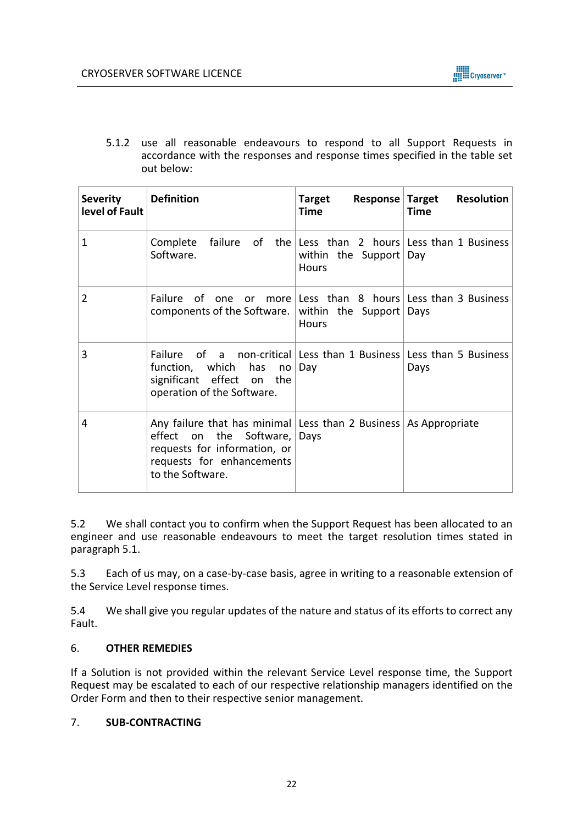5.1.2 use all reasonable endeavours to respond to all Support Requests in accordance with the responses and response times specified in the table set out below:

| <b>Severity</b><br>level of Fault | <b>Definition</b>                                                                                                                                                                     | Target<br><b>Time</b>                                                                    | Response Target Resolution<br><b>Time</b> |
|-----------------------------------|---------------------------------------------------------------------------------------------------------------------------------------------------------------------------------------|------------------------------------------------------------------------------------------|-------------------------------------------|
| $\mathbf{1}$                      | Complete<br>Software.                                                                                                                                                                 | failure of the Less than 2 hours Less than 1 Business<br>within the Support Day<br>Hours |                                           |
| $\overline{2}$                    | Failure of one or more Less than 8 hours Less than 3 Business<br>components of the Software. within the Support                                                                       | <b>Hours</b>                                                                             | Days                                      |
| 3                                 | Failure of a non-critical Less than 1 Business Less than 5 Business<br>function, which has no<br>significant effect on the<br>operation of the Software.                              | Day                                                                                      | Days                                      |
| 4                                 | Any failure that has minimal Less than 2 Business   As Appropriate<br>effect on the Software,   Days<br>requests for information, or<br>requests for enhancements<br>to the Software. |                                                                                          |                                           |

5.2 We shall contact you to confirm when the Support Request has been allocated to an engineer and use reasonable endeavours to meet the target resolution times stated in paragraph 5.1.

5.3 Each of us may, on a case-by-case basis, agree in writing to a reasonable extension of the Service Level response times.

5.4 We shall give you regular updates of the nature and status of its efforts to correct any Fault.

# 6. **OTHER REMEDIES**

If a Solution is not provided within the relevant Service Level response time, the Support Request may be escalated to each of our respective relationship managers identified on the Order Form and then to their respective senior management.

# 7. **SUB-CONTRACTING**